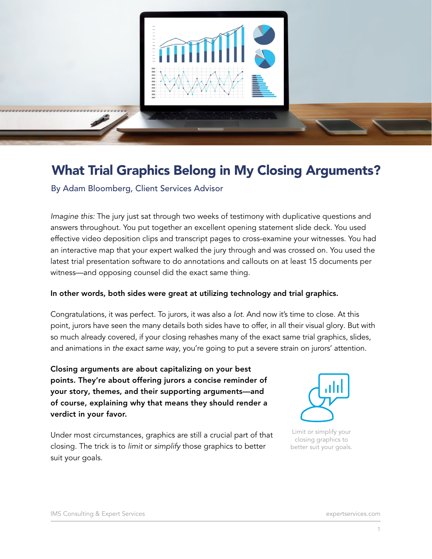

# What Trial Graphics Belong in My Closing Arguments?

By Adam Bloomberg, Client Services Advisor

*Imagine this:* The jury just sat through two weeks of testimony with duplicative questions and answers throughout. You put together an excellent opening statement slide deck. You used effective video deposition clips and transcript pages to cross-examine your witnesses. You had an interactive map that your expert walked the jury through and was crossed on. You used the latest trial presentation software to do annotations and callouts on at least 15 documents per witness—and opposing counsel did the exact same thing.

#### In other words, both sides were great at utilizing technology and trial graphics.

Congratulations, it was perfect. To jurors, it was also a *lot*. And now it's time to close. At this point, jurors have seen the many details both sides have to offer, in all their visual glory. But with so much already covered, if your closing rehashes many of the exact same trial graphics, slides, and animations in *the exact same way*, you're going to put a severe strain on jurors' attention.

Closing arguments are about capitalizing on your best points. They're about offering jurors a concise reminder of your story, themes, and their supporting arguments—and of course, explaining why that means they should render a verdict in your favor.

Under most circumstances, graphics are still a crucial part of that closing. The trick is to *limit* or *simplify* those graphics to better suit your goals.



Limit or simplify your closing graphics to better suit your goals.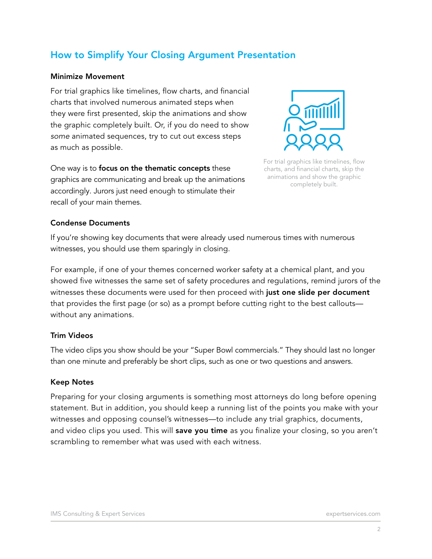## How to Simplify Your Closing Argument Presentation

#### Minimize Movement

For trial graphics like timelines, flow charts, and financial charts that involved numerous animated steps when they were first presented, skip the animations and show the graphic completely built. Or, if you do need to show *some* animated sequences, try to cut out excess steps as much as possible.

One way is to focus on the thematic concepts these graphics are communicating and break up the animations accordingly. Jurors just need enough to stimulate their recall of your main themes.



For trial graphics like timelines, flow charts, and financial charts, skip the animations and show the graphic completely built.

#### Condense Documents

If you're showing key documents that were already used numerous times with numerous witnesses, you should use them sparingly in closing.

For example, if one of your themes concerned worker safety at a chemical plant, and you showed five witnesses the same set of safety procedures and regulations, remind jurors of the witnesses these documents were used for then proceed with just one slide per document that provides the first page (or so) as a prompt before cutting right to the best callouts without any animations.

#### Trim Videos

The video clips you show should be your "Super Bowl commercials." They should last no longer than one minute and preferably be short clips, such as one or two questions and answers.

#### Keep Notes

Preparing for your closing arguments is something most attorneys do long before opening statement. But in addition, you should keep a running list of the points you make with your witnesses and opposing counsel's witnesses—to include any trial graphics, documents, and video clips you used. This will save you time as you finalize your closing, so you aren't scrambling to remember what was used with each witness.